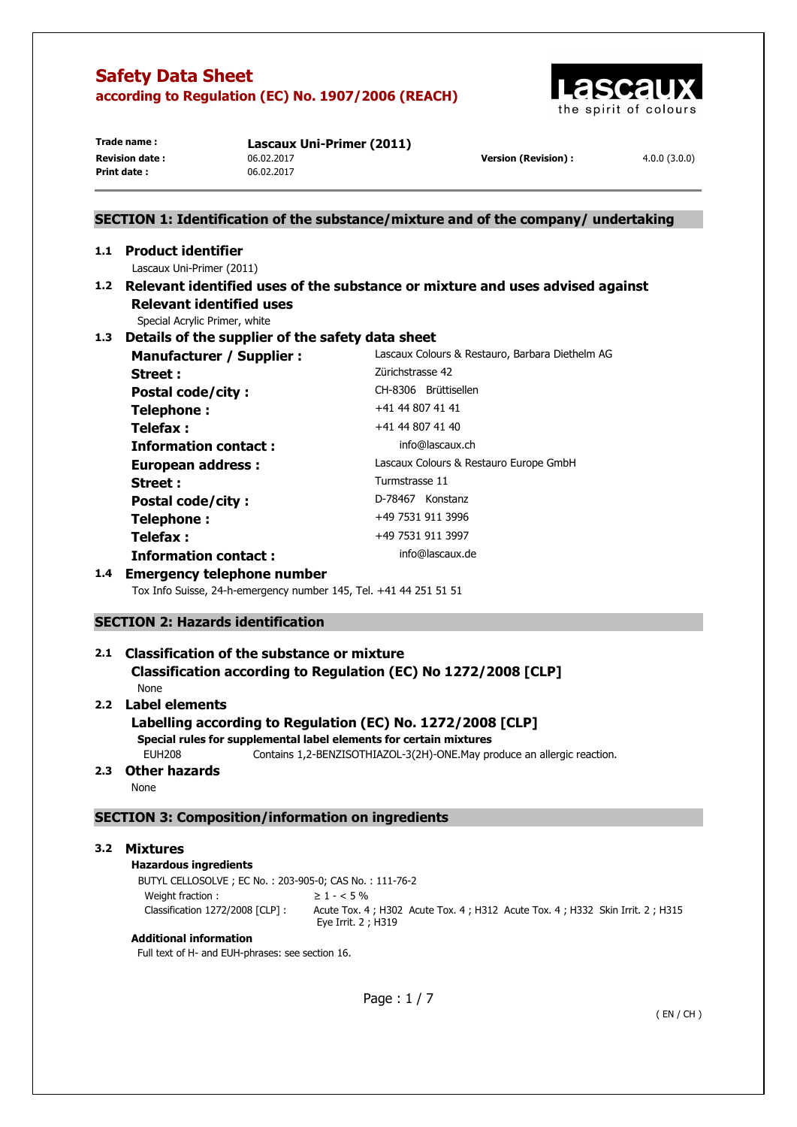

**Print date :** 06.02.2017

**Trade name : Lascaux Uni-Primer (2011) Revision date :** 06.02.2017 **Version (Revision) :** 4.0.0 (3.0.0)

# **SECTION 1: Identification of the substance/mixture and of the company/ undertaking 1.1 Product identifier**  Lascaux Uni-Primer (2011) **1.2 Relevant identified uses of the substance or mixture and uses advised against Relevant identified uses**  Special Acrylic Primer, white **1.3 Details of the supplier of the safety data sheet Manufacturer / Supplier :** Lascaux Colours & Restauro, Barbara Diethelm AG **Street : Zürichstrasse 42** Postal code/city : CH-8306 Brüttisellen **Telephone :**  $+41 44 807 41 41$ **Telefax :**  $+41\,44\,807\,41\,40$ **Information contact : info@lascaux.ch European address :** Lascaux Colours & Restauro Europe GmbH Street : Turmstrasse 11 Postal code/city : D-78467 Konstanz **Telephone :**  $+49\,7531\,911\,3996$ **Telefax :** +49 7531 911 3997 **Information contact : info@lascaux.de 1.4 Emergency telephone number**  Tox Info Suisse, 24-h-emergency number 145, Tel. +41 44 251 51 51 **SECTION 2: Hazards identification 2.1 Classification of the substance or mixture Classification according to Regulation (EC) No 1272/2008 [CLP]**  None **2.2 Label elements Labelling according to Regulation (EC) No. 1272/2008 [CLP] Special rules for supplemental label elements for certain mixtures**

EUH208 Contains 1,2-BENZISOTHIAZOL-3(2H)-ONE.May produce an allergic reaction.

# **2.3 Other hazards**

None

### **SECTION 3: Composition/information on ingredients**

### **3.2 Mixtures**

### **Hazardous ingredients**

BUTYL CELLOSOLVE ; EC No. : 203-905-0; CAS No. : 111-76-2 Weight fraction :  $\geq 1 - 5\%$ 

Classification 1272/2008 [CLP] : Acute Tox. 4 ; H302 Acute Tox. 4 ; H312 Acute Tox. 4 ; H332 Skin Irrit. 2 ; H315 Eye Irrit. 2 ; H319

### **Additional information**

Full text of H- and EUH-phrases: see section 16.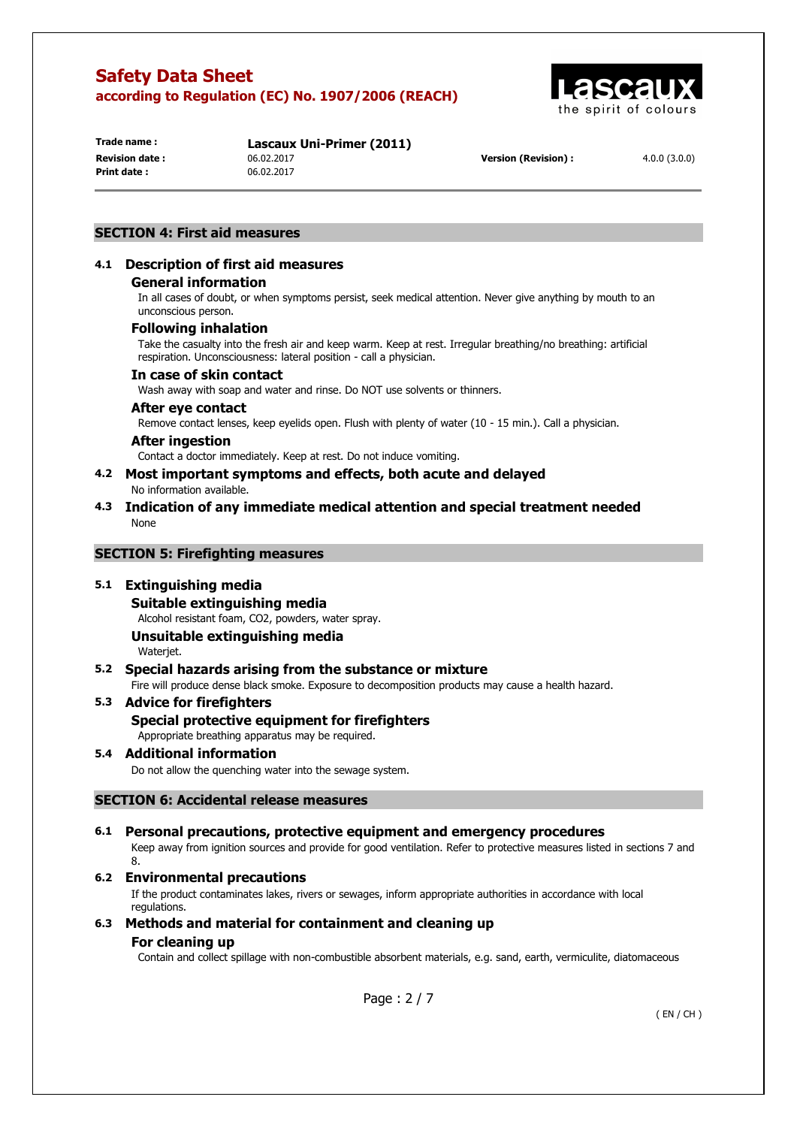

**Print date :** 06.02.2017

**Trade name : Lascaux Uni-Primer (2011) Revision date :** 06.02.2017 **Version (Revision) :** 4.0.0 (3.0.0)

### **SECTION 4: First aid measures**

### **4.1 Description of first aid measures**

#### **General information**

In all cases of doubt, or when symptoms persist, seek medical attention. Never give anything by mouth to an unconscious person.

#### **Following inhalation**

Take the casualty into the fresh air and keep warm. Keep at rest. Irregular breathing/no breathing: artificial respiration. Unconsciousness: lateral position - call a physician.

#### **In case of skin contact**

Wash away with soap and water and rinse. Do NOT use solvents or thinners.

#### **After eye contact**

Remove contact lenses, keep eyelids open. Flush with plenty of water (10 - 15 min.). Call a physician.

#### **After ingestion**

Contact a doctor immediately. Keep at rest. Do not induce vomiting.

- **4.2 Most important symptoms and effects, both acute and delayed**  No information available.
- **4.3 Indication of any immediate medical attention and special treatment needed**  None

#### **SECTION 5: Firefighting measures**

#### **5.1 Extinguishing media**

**Suitable extinguishing media** 

Alcohol resistant foam, CO2, powders, water spray.

# **Unsuitable extinguishing media**

Wateriet.

### **5.2 Special hazards arising from the substance or mixture**

Fire will produce dense black smoke. Exposure to decomposition products may cause a health hazard.

# **5.3 Advice for firefighters Special protective equipment for firefighters**

Appropriate breathing apparatus may be required.

### **5.4 Additional information**

Do not allow the quenching water into the sewage system.

### **SECTION 6: Accidental release measures**

### **6.1 Personal precautions, protective equipment and emergency procedures**

Keep away from ignition sources and provide for good ventilation. Refer to protective measures listed in sections 7 and 8.

### **6.2 Environmental precautions**

If the product contaminates lakes, rivers or sewages, inform appropriate authorities in accordance with local regulations.

### **6.3 Methods and material for containment and cleaning up**

#### **For cleaning up**

Contain and collect spillage with non-combustible absorbent materials, e.g. sand, earth, vermiculite, diatomaceous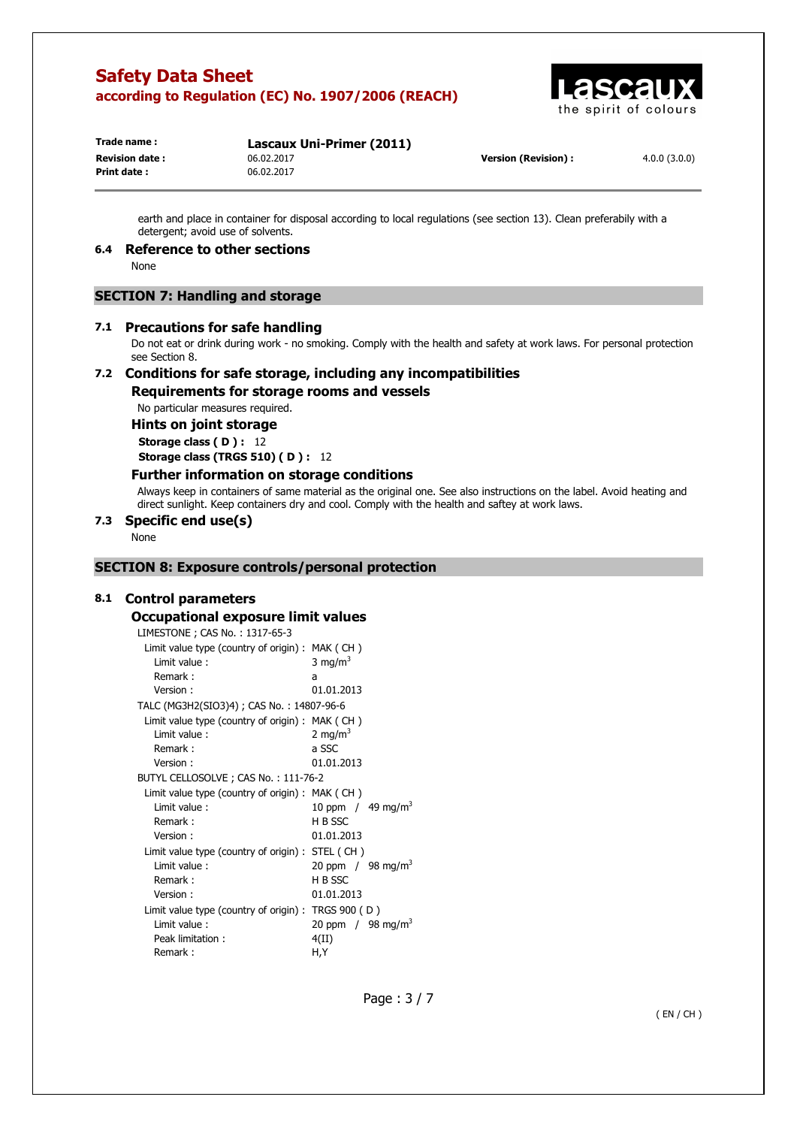

**Print date :** 06.02.2017

**Trade name : Lascaux Uni-Primer (2011) Revision date :** 06.02.2017 **Version (Revision) :** 4.0.0 (3.0.0)

earth and place in container for disposal according to local regulations (see section 13). Clean preferabily with a detergent; avoid use of solvents.

### **6.4 Reference to other sections**

None

### **SECTION 7: Handling and storage**

#### **7.1 Precautions for safe handling**

Do not eat or drink during work - no smoking. Comply with the health and safety at work laws. For personal protection see Section 8.

# **7.2 Conditions for safe storage, including any incompatibilities**

**Requirements for storage rooms and vessels** 

No particular measures required.

### **Hints on joint storage**

**Storage class (D): 12 Storage class (TRGS 510) ( D ) :** 12

#### **Further information on storage conditions**

Always keep in containers of same material as the original one. See also instructions on the label. Avoid heating and direct sunlight. Keep containers dry and cool. Comply with the health and saftey at work laws.

### **7.3 Specific end use(s)**

None

### **SECTION 8: Exposure controls/personal protection**

#### **8.1 Control parameters**

### **Occupational exposure limit values**

LIMESTONE ; CAS No. : 1317-65-3

| Limit value type (country of origin): MAK (CH)      |                                 |
|-----------------------------------------------------|---------------------------------|
| Limit value:                                        | 3 mg/m <sup>3</sup>             |
| Remark:                                             | a                               |
| Version:                                            | 01.01.2013                      |
| TALC (MG3H2(SIO3)4) ; CAS No.: 14807-96-6           |                                 |
| Limit value type (country of origin): MAK (CH)      |                                 |
| Limit value:                                        | 2 mg/m <sup>3</sup>             |
| Remark:                                             | a SSC                           |
| Version:                                            | 01.01.2013                      |
| BUTYL CELLOSOLVE; CAS No.: 111-76-2                 |                                 |
| Limit value type (country of origin): MAK (CH)      |                                 |
| Limit value:                                        | 10 ppm / $49 \text{ mg/m}^3$    |
| Remark:                                             | H B SSC                         |
| Version:                                            | 01.01.2013                      |
| Limit value type (country of origin): STEL (CH)     |                                 |
| Limit value:                                        | 20 ppm $/$ 98 mg/m <sup>3</sup> |
| Remark:                                             | H B SSC                         |
| Version:                                            | 01.01.2013                      |
| Limit value type (country of origin) : TRGS 900 (D) |                                 |
| Limit value:                                        | 20 ppm / 98 mg/m <sup>3</sup>   |
| Peak limitation:                                    | 4(II)                           |
| Remark:                                             | H,Y                             |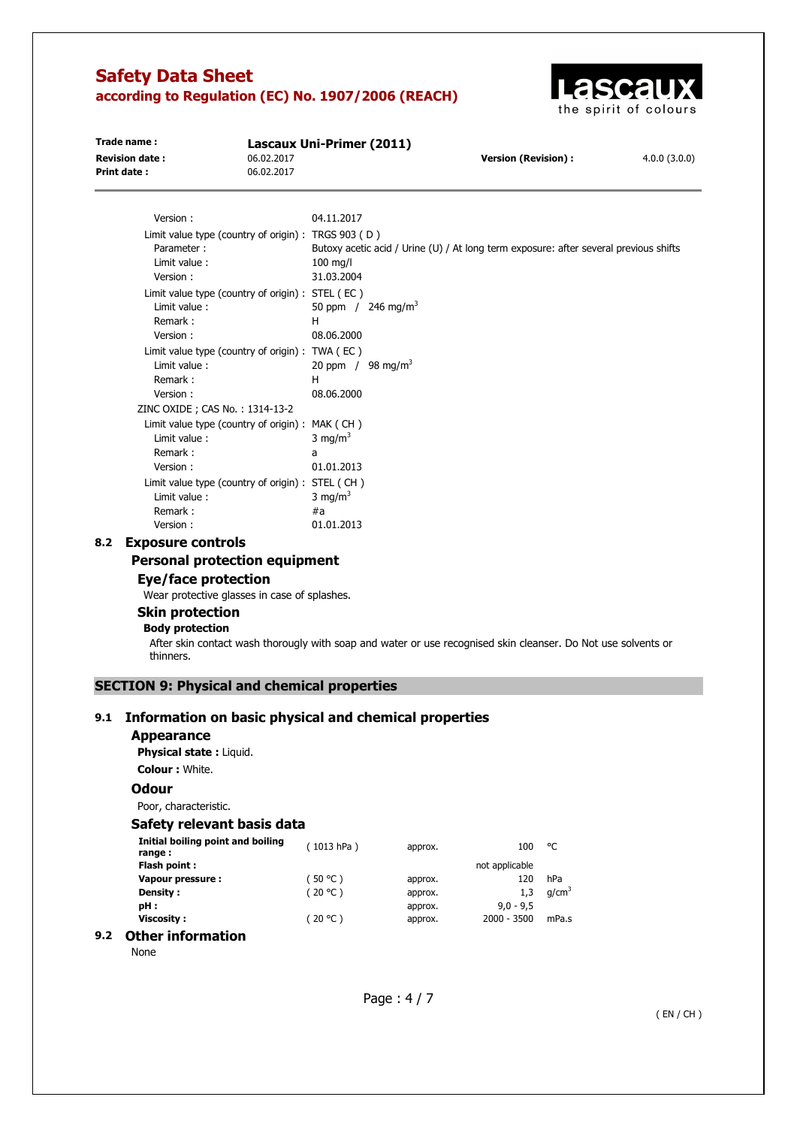

| Trade name:           |                                                     | Lascaux Uni-Primer (2011)     |                                |                                                                                       |              |  |
|-----------------------|-----------------------------------------------------|-------------------------------|--------------------------------|---------------------------------------------------------------------------------------|--------------|--|
| <b>Revision date:</b> | 06.02.2017                                          |                               |                                | <b>Version (Revision):</b>                                                            | 4.0.0(3.0.0) |  |
| <b>Print date:</b>    | 06.02.2017                                          |                               |                                |                                                                                       |              |  |
| Version:              |                                                     | 04.11.2017                    |                                |                                                                                       |              |  |
|                       | Limit value type (country of origin) : TRGS 903 (D) |                               |                                |                                                                                       |              |  |
| Parameter:            |                                                     |                               |                                | Butoxy acetic acid / Urine (U) / At long term exposure: after several previous shifts |              |  |
| Limit value:          |                                                     | $100$ mg/l                    |                                |                                                                                       |              |  |
| Version:              |                                                     | 31.03.2004                    |                                |                                                                                       |              |  |
|                       | Limit value type (country of origin) : STEL (EC)    |                               |                                |                                                                                       |              |  |
| Limit value:          |                                                     |                               | 50 ppm / 246 mg/m <sup>3</sup> |                                                                                       |              |  |
| Remark:               |                                                     | н                             |                                |                                                                                       |              |  |
| Version:              |                                                     | 08.06.2000                    |                                |                                                                                       |              |  |
|                       | Limit value type (country of origin) : TWA (EC)     |                               |                                |                                                                                       |              |  |
| Limit value:          |                                                     | 20 ppm / 98 mg/m <sup>3</sup> |                                |                                                                                       |              |  |
| Remark:               |                                                     | H                             |                                |                                                                                       |              |  |
| Version:              |                                                     | 08.06.2000                    |                                |                                                                                       |              |  |
|                       | ZINC OXIDE ; CAS No. : 1314-13-2                    |                               |                                |                                                                                       |              |  |
|                       | Limit value type (country of origin) : MAK (CH)     |                               |                                |                                                                                       |              |  |
| Limit value:          |                                                     | 3 mg/m <sup>3</sup>           |                                |                                                                                       |              |  |
| Remark:               |                                                     | a                             |                                |                                                                                       |              |  |
| Version:              |                                                     | 01.01.2013                    |                                |                                                                                       |              |  |
|                       | Limit value type (country of origin) : STEL (CH)    |                               |                                |                                                                                       |              |  |
| Limit value:          |                                                     | 3 mg/ $m3$                    |                                |                                                                                       |              |  |
| Remark:               |                                                     | #a                            |                                |                                                                                       |              |  |

**8.2 Exposure controls** 

# **Personal protection equipment**

# **Eye/face protection**

Wear protective glasses in case of splashes.

Version : 01.01.2013

### **Skin protection**

# **Body protection**

After skin contact wash thorougly with soap and water or use recognised skin cleanser. Do Not use solvents or thinners.

### **SECTION 9: Physical and chemical properties**

### **9.1 Information on basic physical and chemical properties**

#### **Appearance**

**Physical state :** Liquid. **Colour :** White.

### **Odour**

Poor, characteristic.

### **Safety relevant basis data**

| Initial boiling point and boiling<br>range: | (1013 hPa) | approx. | 100            | °C                |
|---------------------------------------------|------------|---------|----------------|-------------------|
| Flash point:                                |            |         | not applicable |                   |
| Vapour pressure:                            | (50 °C )   | approx. | 120            | hPa               |
| Density :                                   | (20 °C)    | approx. | 1.3            | q/cm <sup>3</sup> |
| pH :                                        |            | approx. | $9.0 - 9.5$    |                   |
| Viscosity:                                  | (20 °C)    | approx. | $2000 - 3500$  | mPa.s             |
| ⊂har infarmatian                            |            |         |                |                   |

# **9.2 Other information**

None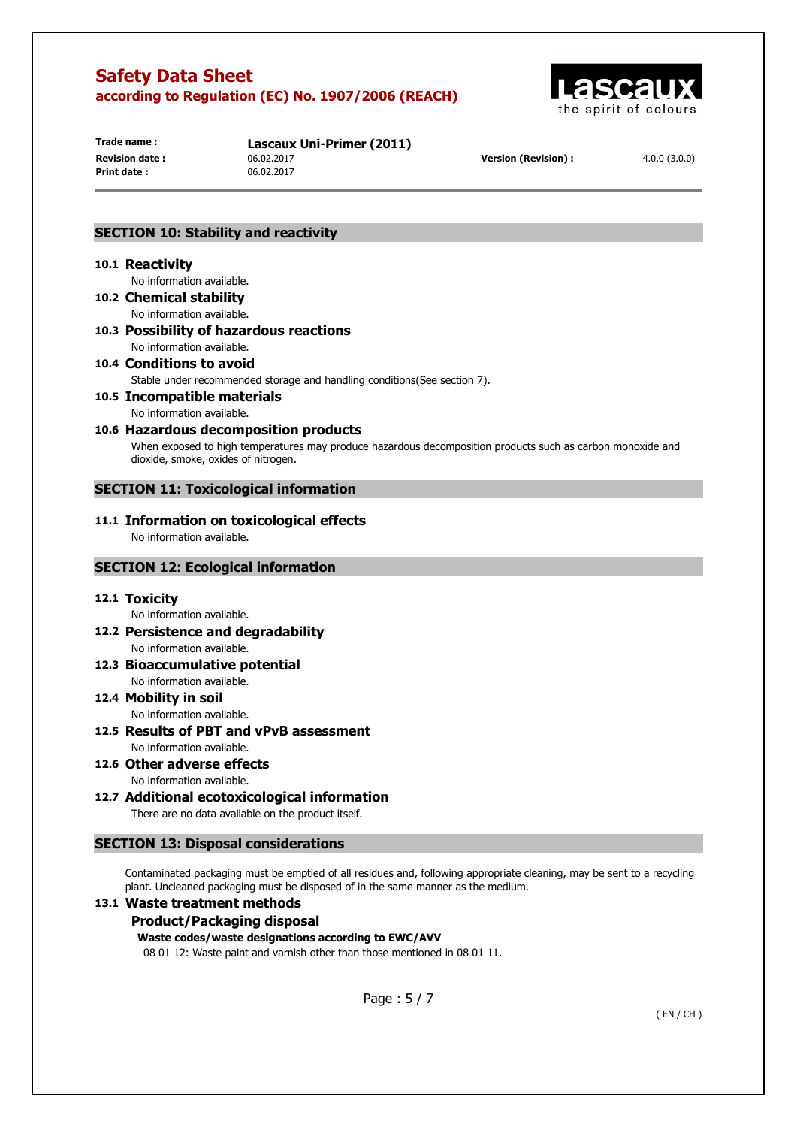

**Print date :** 06.02.2017

**Trade name : Lascaux Uni-Primer (2011) Revision date :** 06.02.2017 **Version (Revision) :** 4.0.0 (3.0.0)

### **SECTION 10: Stability and reactivity**

#### **10.1 Reactivity**

No information available.

- **10.2 Chemical stability**  No information available.
- **10.3 Possibility of hazardous reactions**  No information available.
- **10.4 Conditions to avoid**  Stable under recommended storage and handling conditions(See section 7).
- **10.5 Incompatible materials** 
	- No information available.
- **10.6 Hazardous decomposition products**

When exposed to high temperatures may produce hazardous decomposition products such as carbon monoxide and dioxide, smoke, oxides of nitrogen.

### **SECTION 11: Toxicological information**

### **11.1 Information on toxicological effects**

No information available.

### **SECTION 12: Ecological information**

### **12.1 Toxicity**

No information available.

- **12.2 Persistence and degradability**  No information available.
- **12.3 Bioaccumulative potential**  No information available.
- **12.4 Mobility in soil**  No information available.
- **12.5 Results of PBT and vPvB assessment**  No information available.
- **12.6 Other adverse effects**  No information available.
- **12.7 Additional ecotoxicological information**  There are no data available on the product itself.

### **SECTION 13: Disposal considerations**

Contaminated packaging must be emptied of all residues and, following appropriate cleaning, may be sent to a recycling plant. Uncleaned packaging must be disposed of in the same manner as the medium.

### **13.1 Waste treatment methods**

### **Product/Packaging disposal**

### **Waste codes/waste designations according to EWC/AVV**

08 01 12: Waste paint and varnish other than those mentioned in 08 01 11.

Page : 5 / 7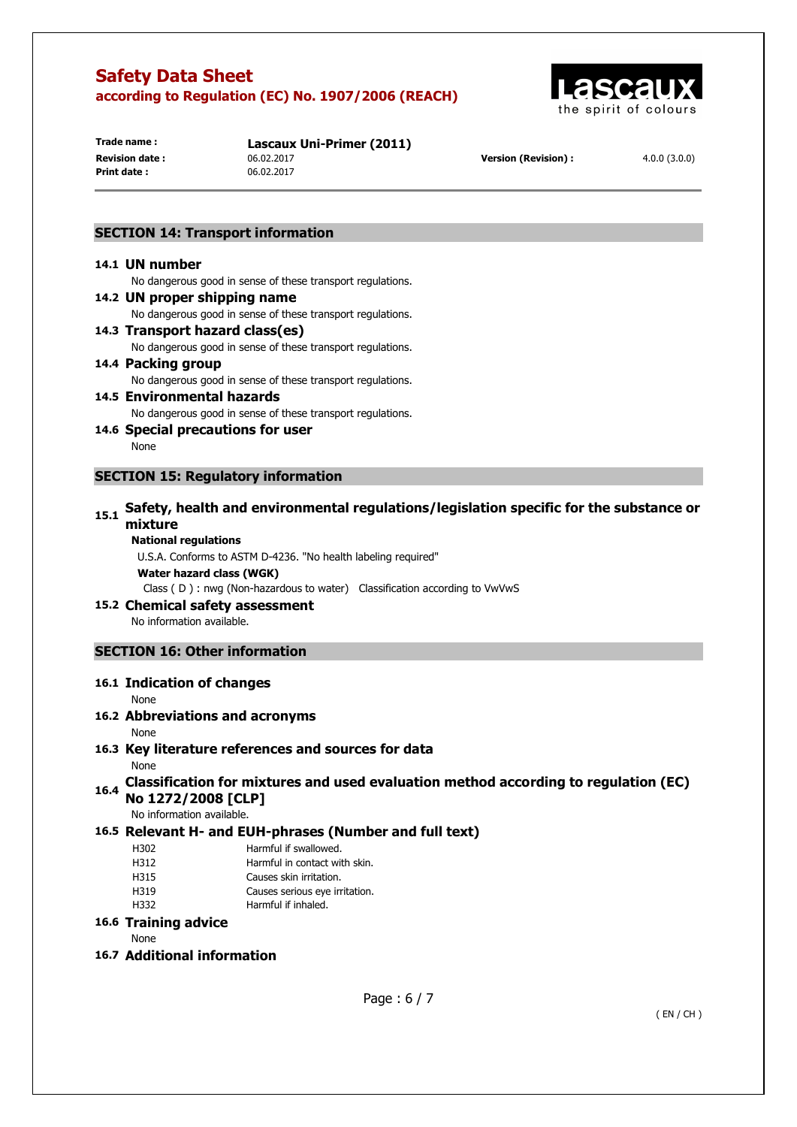

**Print date :** 06.02.2017

**Trade name : Lascaux Uni-Primer (2011) Revision date :** 06.02.2017 **Version (Revision) :** 4.0.0 (3.0.0)

### **SECTION 14: Transport information**

#### **14.1 UN number**

No dangerous good in sense of these transport regulations.

#### **14.2 UN proper shipping name**

No dangerous good in sense of these transport regulations.

# **14.3 Transport hazard class(es)**

No dangerous good in sense of these transport regulations.

#### **14.4 Packing group**  No dangerous good in sense of these transport regulations.

### **14.5 Environmental hazards**  No dangerous good in sense of these transport regulations.

**14.6 Special precautions for user** 

None

### **SECTION 15: Regulatory information**

# **15.1 Safety, health and environmental regulations/legislation specific for the substance or mixture**

#### **National regulations**

U.S.A. Conforms to ASTM D-4236. "No health labeling required" **Water hazard class (WGK)**  Class ( D ) : nwg (Non-hazardous to water) Classification according to VwVwS

### **15.2 Chemical safety assessment**

No information available.

### **SECTION 16: Other information**

### **16.1 Indication of changes**

None

### **16.2 Abbreviations and acronyms**

None

# **16.3 Key literature references and sources for data**

None

# **16.4 Classification for mixtures and used evaluation method according to regulation (EC) No 1272/2008 [CLP]**

No information available.

### **16.5 Relevant H- and EUH-phrases (Number and full text)**

- H302 Harmful if swallowed.
- H312 Harmful in contact with skin.
- H315 Causes skin irritation.
- H319 Causes serious eye irritation.
- H332 Harmful if inhaled.

### **16.6 Training advice**

None

### **16.7 Additional information**